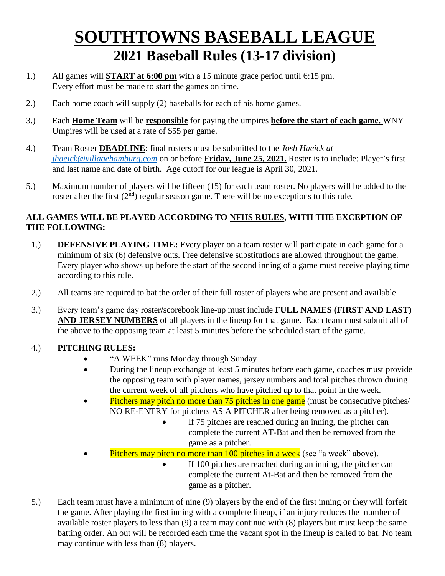# **SOUTHTOWNS BASEBALL LEAGUE 2021 Baseball Rules (13-17 division)**

- 1.) All games will **START at 6:00 pm** with a 15 minute grace period until 6:15 pm. Every effort must be made to start the games on time.
- 2.) Each home coach will supply (2) baseballs for each of his home games.
- 3.) Each **Home Team** will be **responsible** for paying the umpires **before the start of each game.** WNY Umpires will be used at a rate of \$55 per game.
- 4.) Team Roster **DEADLINE**: final rosters must be submitted to the *Josh Haeick at [jhaeick@villagehamburg.com](mailto:jhaeick@villagehamburg.com)* on or before **Friday, June 25, 2021.** Roster is to include: Player's first and last name and date of birth. Age cutoff for our league is April 30, 2021.
- 5.) Maximum number of players will be fifteen (15) for each team roster. No players will be added to the roster after the first (2<sup>nd</sup>) regular season game. There will be no exceptions to this rule.

## **ALL GAMES WILL BE PLAYED ACCORDING TO NFHS RULES, WITH THE EXCEPTION OF THE FOLLOWING:**

- 1.) **DEFENSIVE PLAYING TIME:** Every player on a team roster will participate in each game for a minimum of six (6) defensive outs. Free defensive substitutions are allowed throughout the game. Every player who shows up before the start of the second inning of a game must receive playing time according to this rule.
- 2.) All teams are required to bat the order of their full roster of players who are present and available.
- 3.) Every team's game day roster**/**scorebook line-up must include **FULL NAMES (FIRST AND LAST) AND JERSEY NUMBERS** of all players in the lineup for that game. Each team must submit all of the above to the opposing team at least 5 minutes before the scheduled start of the game.

## 4.) **PITCHING RULES:**

- "A WEEK" runs Monday through Sunday
- During the lineup exchange at least 5 minutes before each game, coaches must provide the opposing team with player names, jersey numbers and total pitches thrown during the current week of all pitchers who have pitched up to that point in the week.
- $\bullet$  Pitchers may pitch no more than 75 pitches in one game (must be consecutive pitches) NO RE-ENTRY for pitchers AS A PITCHER after being removed as a pitcher).
	- If 75 pitches are reached during an inning, the pitcher can complete the current AT-Bat and then be removed from the game as a pitcher.
- Pitchers may pitch no more than 100 pitches in a week (see "a week" above).
	- If 100 pitches are reached during an inning, the pitcher can complete the current At-Bat and then be removed from the game as a pitcher.
- 5.) Each team must have a minimum of nine (9) players by the end of the first inning or they will forfeit the game. After playing the first inning with a complete lineup, if an injury reduces the number of available roster players to less than (9) a team may continue with (8) players but must keep the same batting order. An out will be recorded each time the vacant spot in the lineup is called to bat. No team may continue with less than (8) players.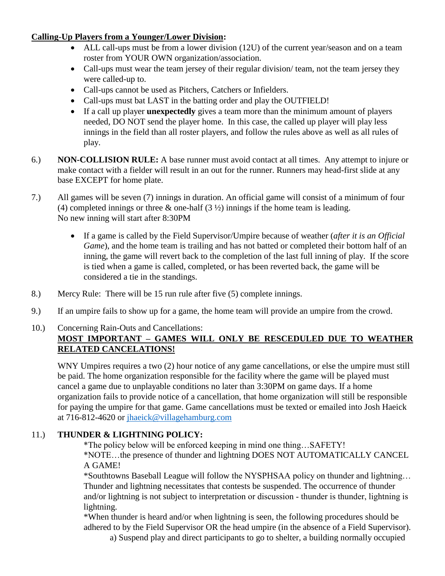#### **Calling-Up Players from a Younger/Lower Division:**

- ALL call-ups must be from a lower division (12U) of the current year/season and on a team roster from YOUR OWN organization/association.
- Call-ups must wear the team jersey of their regular division/ team, not the team jersey they were called-up to.
- Call-ups cannot be used as Pitchers, Catchers or Infielders.
- Call-ups must bat LAST in the batting order and play the OUTFIELD!
- If a call up player **unexpectedly** gives a team more than the minimum amount of players needed, DO NOT send the player home. In this case, the called up player will play less innings in the field than all roster players, and follow the rules above as well as all rules of play.
- 6.) **NON-COLLISION RULE:** A base runner must avoid contact at all times. Any attempt to injure or make contact with a fielder will result in an out for the runner. Runners may head-first slide at any base EXCEPT for home plate.
- 7.) All games will be seven (7) innings in duration. An official game will consist of a minimum of four (4) completed innings or three  $\&$  one-half (3  $\frac{1}{2}$ ) innings if the home team is leading. No new inning will start after 8:30PM
	- If a game is called by the Field Supervisor/Umpire because of weather (*after it is an Official Game*), and the home team is trailing and has not batted or completed their bottom half of an inning, the game will revert back to the completion of the last full inning of play. If the score is tied when a game is called, completed, or has been reverted back, the game will be considered a tie in the standings.
- 8.) Mercy Rule: There will be 15 run rule after five (5) complete innings.
- 9.) If an umpire fails to show up for a game, the home team will provide an umpire from the crowd.

#### 10.) Concerning Rain-Outs and Cancellations: **MOST IMPORTANT – GAMES WILL ONLY BE RESCEDULED DUE TO WEATHER RELATED CANCELATIONS!**

WNY Umpires requires a two (2) hour notice of any game cancellations, or else the umpire must still be paid. The home organization responsible for the facility where the game will be played must cancel a game due to unplayable conditions no later than 3:30PM on game days. If a home organization fails to provide notice of a cancellation, that home organization will still be responsible for paying the umpire for that game. Game cancellations must be texted or emailed into Josh Haeick at 716-812-4620 or [jhaeick@villagehamburg.com](mailto:jhaeick@villagehamburg.com)

# 11.) **THUNDER & LIGHTNING POLICY:**

\*The policy below will be enforced keeping in mind one thing…SAFETY!

\*NOTE…the presence of thunder and lightning DOES NOT AUTOMATICALLY CANCEL A GAME!

\*Southtowns Baseball League will follow the NYSPHSAA policy on thunder and lightning… Thunder and lightning necessitates that contests be suspended. The occurrence of thunder and/or lightning is not subject to interpretation or discussion ‐ thunder is thunder, lightning is lightning.

\*When thunder is heard and/or when lightning is seen, the following procedures should be adhered to by the Field Supervisor OR the head umpire (in the absence of a Field Supervisor). a) Suspend play and direct participants to go to shelter, a building normally occupied